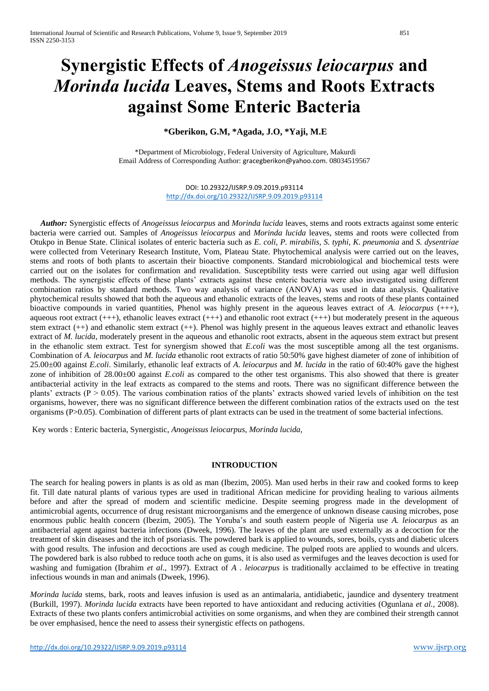# **Synergistic Effects of** *Anogeissus leiocarpus* **and**  *Morinda lucida* **Leaves, Stems and Roots Extracts against Some Enteric Bacteria**

# **\*Gberikon, G.M, \*Agada, J.O, \*Yaji, M.E**

\*Department of Microbiology, Federal University of Agriculture, Makurdi Email Address of Corresponding Author: [gracegberikon@yahoo.com](mailto:gracegberikon@yahoo.com). 08034519567

> DOI: 10.29322/IJSRP.9.09.2019.p93114 <http://dx.doi.org/10.29322/IJSRP.9.09.2019.p93114>

 *Author:* Synergistic effects of *Anogeissus leiocarpus* and *Morinda lucida* leaves, stems and roots extracts against some enteric bacteria were carried out. Samples of *Anogeissus leiocarpus* and *Morinda lucida* leaves, stems and roots were collected from Otukpo in Benue State. Clinical isolates of enteric bacteria such as *E. coli, P. mirabilis, S. typhi, K. pneumonia* and *S. dysentriae* were collected from Veterinary Research Institute, Vom, Plateau State. Phytochemical analysis were carried out on the leaves, stems and roots of both plants to ascertain their bioactive components. Standard microbiological and biochemical tests were carried out on the isolates for confirmation and revalidation. Susceptibility tests were carried out using agar well diffusion methods. The synergistic effects of these plants' extracts against these enteric bacteria were also investigated using different combination ratios by standard methods. Two way analysis of variance (ANOVA) was used in data analysis. Qualitative phytochemical results showed that both the aqueous and ethanolic extracts of the leaves, stems and roots of these plants contained bioactive compounds in varied quantities, Phenol was highly present in the aqueous leaves extract of *A. leiocarpus* (+++), aqueous root extract  $(++)$ , ethanolic leaves extract  $(++)$  and ethanolic root extract  $(++)$  but moderately present in the aqueous stem extract (++) and ethanolic stem extract (++). Phenol was highly present in the aqueous leaves extract and ethanolic leaves extract of *M. lucida*, moderately present in the aqueous and ethanolic root extracts, absent in the aqueous stem extract but present in the ethanolic stem extract. Test for synergism showed that *E.coli* was the most susceptible among all the test organisms. Combination of *A. leiocarpus* and *M. lucida* ethanolic root extracts of ratio 50:50% gave highest diameter of zone of inhibition of 25.00±00 against *E.coli*. Similarly, ethanolic leaf extracts of *A*. *leiocarpus* and *M. lucida* in the ratio of 60:40% gave the highest zone of inhibition of 28.00±00 against *E.coli* as compared to the other test organisms. This also showed that there is greater antibacterial activity in the leaf extracts as compared to the stems and roots. There was no significant difference between the plants' extracts ( $P > 0.05$ ). The various combination ratios of the plants' extracts showed varied levels of inhibition on the test organisms, however, there was no significant difference between the different combination ratios of the extracts used on the test organisms (P>0.05). Combination of different parts of plant extracts can be used in the treatment of some bacterial infections.

Key words : Enteric bacteria, Synergistic, *Anogeissus leiocarpus*, *Morinda lucida*,

## **INTRODUCTION**

The search for healing powers in plants is as old as man (Ibezim, 2005). Man used herbs in their raw and cooked forms to keep fit. Till date natural plants of various types are used in traditional African medicine for providing healing to various ailments before and after the spread of modern and scientific medicine. Despite seeming progress made in the development of antimicrobial agents, occurrence of drug resistant microorganisms and the emergence of unknown disease causing microbes, pose enormous public health concern (Ibezim, 2005). The Yoruba's and south eastern people of Nigeria use *A. leiocarpus* as an antibacterial agent against bacteria infections (Dweek, 1996). The leaves of the plant are used externally as a decoction for the treatment of skin diseases and the itch of psoriasis. The powdered bark is applied to wounds, sores, boils, cysts and diabetic ulcers with good results. The infusion and decoctions are used as cough medicine. The pulped roots are applied to wounds and ulcers. The powdered bark is also rubbed to reduce tooth ache on gums, it is also used as vermifuges and the leaves decoction is used for washing and fumigation (Ibrahim *et al*., 1997). Extract of *A . leiocarpus* is traditionally acclaimed to be effective in treating infectious wounds in man and animals (Dweek, 1996).

*Morinda lucida* stems, bark, roots and leaves infusion is used as an antimalaria, antidiabetic, jaundice and dysentery treatment (Burkill, 1997). *Morinda lucida* extracts have been reported to have antioxidant and reducing activities (Ogunlana *et al.,* 2008). Extracts of these two plants confers antimicrobial activities on some organisms, and when they are combined their strength cannot be over emphasised, hence the need to assess their synergistic effects on pathogens.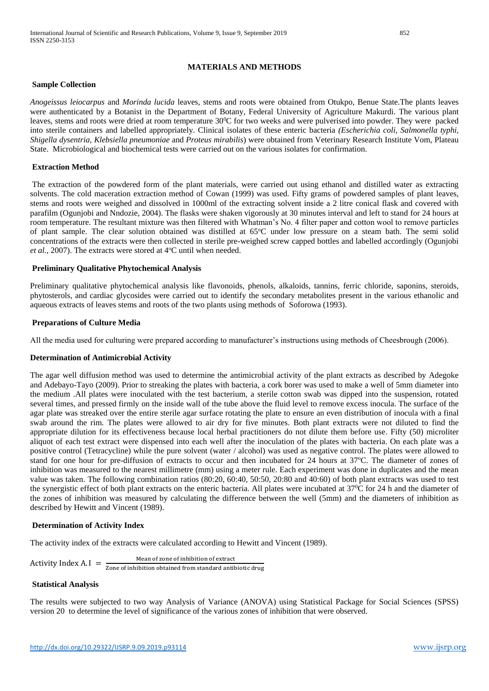# **MATERIALS AND METHODS**

## **Sample Collection**

*Anogeissus leiocarpus* and *Morinda lucida* leaves, stems and roots were obtained from Otukpo, Benue State.The plants leaves were authenticated by a Botanist in the Department of Botany, Federal University of Agriculture Makurdi. The various plant leaves, stems and roots were dried at room temperature 30<sup>0</sup>C for two weeks and were pulverised into powder. They were packed into sterile containers and labelled appropriately. Clinical isolates of these enteric bacteria *(Escherichia coli, Salmonella typhi, Shigella dysentria, Klebsiella pneumoniae* and *Proteus mirabilis*) were obtained from Veterinary Research Institute Vom, Plateau State. Microbiological and biochemical tests were carried out on the various isolates for confirmation.

## **Extraction Method**

The extraction of the powdered form of the plant materials, were carried out using ethanol and distilled water as extracting solvents. The cold maceration extraction method of Cowan (1999) was used. Fifty grams of powdered samples of plant leaves, stems and roots were weighed and dissolved in 1000ml of the extracting solvent inside a 2 litre conical flask and covered with parafilm (Ogunjobi and Nndozie, 2004). The flasks were shaken vigorously at 30 minutes interval and left to stand for 24 hours at room temperature. The resultant mixture was then filtered with Whatman's No. 4 filter paper and cotton wool to remove particles of plant sample. The clear solution obtained was distilled at 65°C under low pressure on a steam bath. The semi solid concentrations of the extracts were then collected in sterile pre-weighed screw capped bottles and labelled accordingly (Ogunjobi *et al.,* 2007). The extracts were stored at 4°C until when needed.

## **Preliminary Qualitative Phytochemical Analysis**

Preliminary qualitative phytochemical analysis like flavonoids, phenols, alkaloids, tannins, ferric chloride, saponins, steroids, phytosterols, and cardiac glycosides were carried out to identify the secondary metabolites present in the various ethanolic and aqueous extracts of leaves stems and roots of the two plants using methods of Soforowa (1993).

## **Preparations of Culture Media**

All the media used for culturing were prepared according to manufacturer's instructions using methods of Cheesbrough (2006).

## **Determination of Antimicrobial Activity**

The agar well diffusion method was used to determine the antimicrobial activity of the plant extracts as described by Adegoke and Adebayo-Tayo (2009). Prior to streaking the plates with bacteria, a cork borer was used to make a well of 5mm diameter into the medium .All plates were inoculated with the test bacterium, a sterile cotton swab was dipped into the suspension, rotated several times, and pressed firmly on the inside wall of the tube above the fluid level to remove excess inocula. The surface of the agar plate was streaked over the entire sterile agar surface rotating the plate to ensure an even distribution of inocula with a final swab around the rim. The plates were allowed to air dry for five minutes. Both plant extracts were not diluted to find the appropriate dilution for its effectiveness because local herbal practitioners do not dilute them before use. Fifty (50) microliter aliquot of each test extract were dispensed into each well after the inoculation of the plates with bacteria. On each plate was a positive control (Tetracycline) while the pure solvent (water / alcohol) was used as negative control. The plates were allowed to stand for one hour for pre-diffusion of extracts to occur and then incubated for 24 hours at 37<sup>o</sup>C. The diameter of zones of inhibition was measured to the nearest millimetre (mm) using a meter rule. Each experiment was done in duplicates and the mean value was taken. The following combination ratios (80:20, 60:40, 50:50, 20:80 and 40:60) of both plant extracts was used to test the synergistic effect of both plant extracts on the enteric bacteria. All plates were incubated at 37<sup>0</sup>C for 24 h and the diameter of the zones of inhibition was measured by calculating the difference between the well (5mm) and the diameters of inhibition as described by Hewitt and Vincent (1989).

## **Determination of Activity Index**

The activity index of the extracts were calculated according to Hewitt and Vincent (1989).

**Activity Index A.** I = 
$$
\frac{\text{Mean of zone of inhibition of extract}}{\text{Zone of inhibition obtained from standard antibiotic drug}}
$$

# **Statistical Analysis**

The results were subjected to two way Analysis of Variance (ANOVA) using Statistical Package for Social Sciences (SPSS) version 20 to determine the level of significance of the various zones of inhibition that were observed.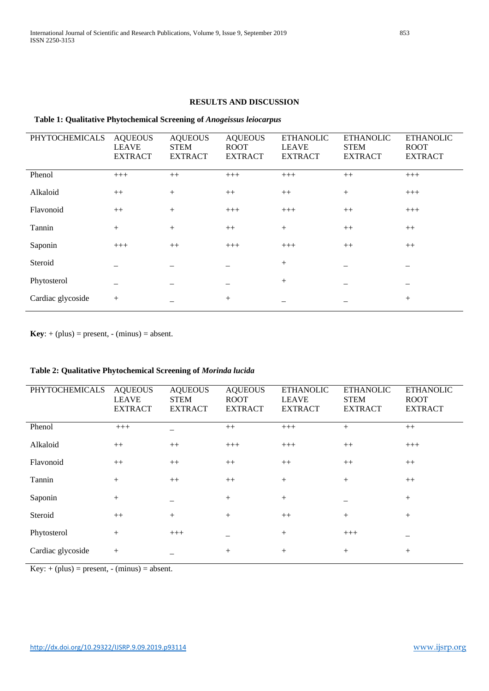# **Table 1: Qualitative Phytochemical Screening of** *Anogeissus leiocarpus*

| <b>PHYTOCHEMICALS</b> | <b>AQUEOUS</b><br><b>LEAVE</b><br><b>EXTRACT</b> | <b>AQUEOUS</b><br><b>STEM</b><br><b>EXTRACT</b> | <b>AQUEOUS</b><br><b>ROOT</b><br><b>EXTRACT</b> | <b>ETHANOLIC</b><br><b>LEAVE</b><br><b>EXTRACT</b> | <b>ETHANOLIC</b><br><b>STEM</b><br><b>EXTRACT</b> | <b>ETHANOLIC</b><br><b>ROOT</b><br><b>EXTRACT</b> |
|-----------------------|--------------------------------------------------|-------------------------------------------------|-------------------------------------------------|----------------------------------------------------|---------------------------------------------------|---------------------------------------------------|
| Phenol                | $+++$                                            | $++$                                            | $+++$                                           | $+++$                                              | $++$                                              | $+++$                                             |
| Alkaloid              | $++$                                             | $+$                                             | $++$                                            | $++$                                               | $+$                                               | $+++$                                             |
| Flavonoid             | $++$                                             | $+$                                             | $+++$                                           | $+++$                                              | $++$                                              | $+++$                                             |
| Tannin                | $^{+}$                                           | $^{+}$                                          | $++$                                            | $^{+}$                                             | $++$                                              | $++$                                              |
| Saponin               | $+++$                                            | $++$                                            | $+++$                                           | $+++$                                              | $++$                                              | $++$                                              |
| Steroid               |                                                  |                                                 |                                                 | $+$                                                |                                                   |                                                   |
| Phytosterol           |                                                  |                                                 |                                                 | $^{+}$                                             |                                                   |                                                   |
| Cardiac glycoside     | $^{+}$                                           |                                                 | $^{+}$                                          |                                                    |                                                   | $^{+}$                                            |

 $Key: + (plus) = present, - (minus) = absent.$ 

# **Table 2: Qualitative Phytochemical Screening of** *Morinda lucida*

| <b>PHYTOCHEMICALS</b> | <b>AQUEOUS</b><br><b>LEAVE</b><br><b>EXTRACT</b> | <b>AQUEOUS</b><br><b>STEM</b><br><b>EXTRACT</b> | <b>AQUEOUS</b><br><b>ROOT</b><br><b>EXTRACT</b> | <b>ETHANOLIC</b><br><b>LEAVE</b><br><b>EXTRACT</b> | <b>ETHANOLIC</b><br><b>STEM</b><br><b>EXTRACT</b> | <b>ETHANOLIC</b><br><b>ROOT</b><br><b>EXTRACT</b> |
|-----------------------|--------------------------------------------------|-------------------------------------------------|-------------------------------------------------|----------------------------------------------------|---------------------------------------------------|---------------------------------------------------|
| Phenol                | $+++$                                            |                                                 | $^{++}$                                         | $+++$                                              | $^{+}$                                            | $++$                                              |
| Alkaloid              | $++$                                             | $++$                                            | $+++$                                           | $+++$                                              | $++$                                              | $+++$                                             |
| Flavonoid             | $++$                                             | $++$                                            | $++$                                            | $++$                                               | $++$                                              | $++$                                              |
| Tannin                | $+$                                              | $++$                                            | $++$                                            | $^{+}$                                             | $+$                                               | $++$                                              |
| Saponin               | $+$                                              |                                                 | $^{+}$                                          | $+$                                                |                                                   | $+$                                               |
| Steroid               | $++$                                             | $+$                                             | $^{+}$                                          | $++$                                               | $+$                                               | $+$                                               |
| Phytosterol           | $^{+}$                                           | $+++$                                           |                                                 | $^{+}$                                             | $+++$                                             |                                                   |
| Cardiac glycoside     | $+$                                              |                                                 | $^+$                                            | $^{+}$                                             | $+$                                               | $+$                                               |

 $Key: + (plus) = present, - (minus) = absent.$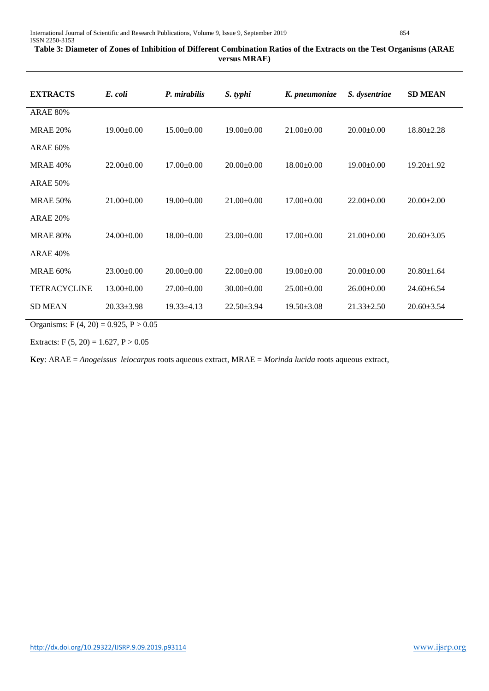# **Table 3: Diameter of Zones of Inhibition of Different Combination Ratios of the Extracts on the Test Organisms (ARAE versus MRAE)**

| <b>EXTRACTS</b>     | E. coli          | P. mirabilis     | S. typhi         | K. pneumoniae    | S. dysentriae    | <b>SD MEAN</b>   |
|---------------------|------------------|------------------|------------------|------------------|------------------|------------------|
| <b>ARAE 80%</b>     |                  |                  |                  |                  |                  |                  |
| <b>MRAE 20%</b>     | $19.00 \pm 0.00$ | $15.00 \pm 0.00$ | $19.00 \pm 0.00$ | $21.00 \pm 0.00$ | $20.00 \pm 0.00$ | $18.80 \pm 2.28$ |
| <b>ARAE 60%</b>     |                  |                  |                  |                  |                  |                  |
| <b>MRAE 40%</b>     | $22.00+0.00$     | $17.00 \pm 0.00$ | $20.00+0.00$     | $18.00 \pm 0.00$ | $19.00 \pm 0.00$ | $19.20 \pm 1.92$ |
| <b>ARAE 50%</b>     |                  |                  |                  |                  |                  |                  |
| <b>MRAE 50%</b>     | $21.00 \pm 0.00$ | $19.00 \pm 0.00$ | $21.00 \pm 0.00$ | $17.00 \pm 0.00$ | $22.00 \pm 0.00$ | $20.00 \pm 2.00$ |
| <b>ARAE 20%</b>     |                  |                  |                  |                  |                  |                  |
| <b>MRAE 80%</b>     | $24.00 \pm 0.00$ | $18.00 \pm 0.00$ | $23.00 \pm 0.00$ | $17.00 \pm 0.00$ | $21.00 \pm 0.00$ | $20.60 \pm 3.05$ |
| <b>ARAE 40%</b>     |                  |                  |                  |                  |                  |                  |
| <b>MRAE 60%</b>     | $23.00 \pm 0.00$ | $20.00 \pm 0.00$ | $22.00 \pm 0.00$ | $19.00 \pm 0.00$ | $20.00 \pm 0.00$ | $20.80 \pm 1.64$ |
| <b>TETRACYCLINE</b> | $13.00+0.00$     | $27.00 \pm 0.00$ | $30.00+0.00$     | $25.00 \pm 0.00$ | $26.00 \pm 0.00$ | $24.60 \pm 6.54$ |
| <b>SD MEAN</b>      | $20.33 \pm 3.98$ | $19.33 \pm 4.13$ | $22.50 \pm 3.94$ | $19.50 \pm 3.08$ | $21.33 \pm 2.50$ | $20.60 \pm 3.54$ |

Organisms: F  $(4, 20) = 0.925$ , P  $> 0.05$ 

Extracts: F  $(5, 20) = 1.627$ , P  $> 0.05$ 

**Key**: ARAE = *Anogeissus leiocarpus* roots aqueous extract, MRAE = *Morinda lucida* roots aqueous extract,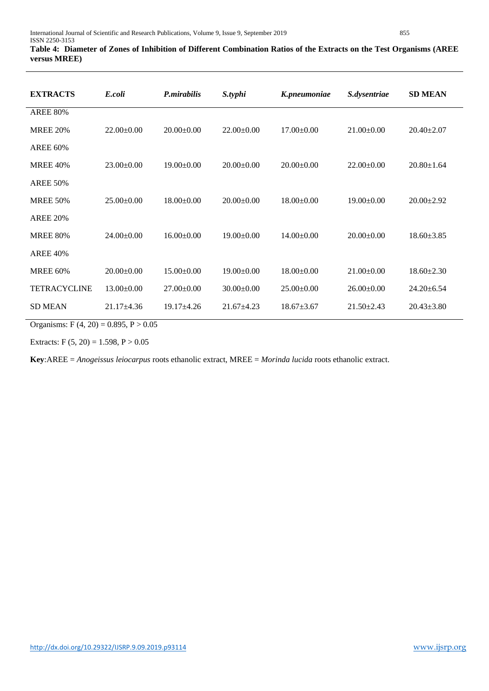# **Table 4: Diameter of Zones of Inhibition of Different Combination Ratios of the Extracts on the Test Organisms (AREE versus MREE)**

| <b>EXTRACTS</b>     | E.coli           | P.mirabilis      | S.typhi          | K.pneumoniae     | S.dysentriae     | <b>SD MEAN</b>   |
|---------------------|------------------|------------------|------------------|------------------|------------------|------------------|
| <b>AREE 80%</b>     |                  |                  |                  |                  |                  |                  |
| <b>MREE 20%</b>     | $22.00 \pm 0.00$ | $20.00 \pm 0.00$ | $22.00 \pm 0.00$ | $17.00 \pm 0.00$ | $21.00 \pm 0.00$ | $20.40 \pm 2.07$ |
| <b>AREE 60%</b>     |                  |                  |                  |                  |                  |                  |
| <b>MREE 40%</b>     | $23.00 \pm 0.00$ | $19.00 \pm 0.00$ | $20.00 \pm 0.00$ | $20.00 \pm 0.00$ | $22.00 \pm 0.00$ | $20.80 \pm 1.64$ |
| <b>AREE 50%</b>     |                  |                  |                  |                  |                  |                  |
| <b>MREE 50%</b>     | $25.00 \pm 0.00$ | $18.00 \pm 0.00$ | $20.00 \pm 0.00$ | $18.00 \pm 0.00$ | $19.00 \pm 0.00$ | $20.00 \pm 2.92$ |
| <b>AREE 20%</b>     |                  |                  |                  |                  |                  |                  |
| <b>MREE 80%</b>     | $24.00 \pm 0.00$ | $16.00 \pm 0.00$ | $19.00 \pm 0.00$ | $14.00 \pm 0.00$ | $20.00 \pm 0.00$ | $18.60 \pm 3.85$ |
| <b>AREE 40%</b>     |                  |                  |                  |                  |                  |                  |
| <b>MREE 60%</b>     | $20.00 \pm 0.00$ | $15.00 \pm 0.00$ | $19.00 \pm 0.00$ | $18.00 \pm 0.00$ | $21.00\pm0.00$   | $18.60 \pm 2.30$ |
| <b>TETRACYCLINE</b> | $13.00 \pm 0.00$ | $27.00 \pm 0.00$ | $30.00 \pm 0.00$ | $25.00 \pm 0.00$ | $26.00 \pm 0.00$ | $24.20 \pm 6.54$ |
| <b>SD MEAN</b>      | $21.17\pm4.36$   | $19.17 \pm 4.26$ | $21.67 \pm 4.23$ | $18.67 \pm 3.67$ | $21.50 \pm 2.43$ | $20.43 \pm 3.80$ |

Organisms: F  $(4, 20) = 0.895$ , P  $> 0.05$ 

Extracts: F  $(5, 20) = 1.598$ , P  $> 0.05$ 

**Key**:AREE = *Anogeissus leiocarpus* roots ethanolic extract, MREE = *Morinda lucida* roots ethanolic extract.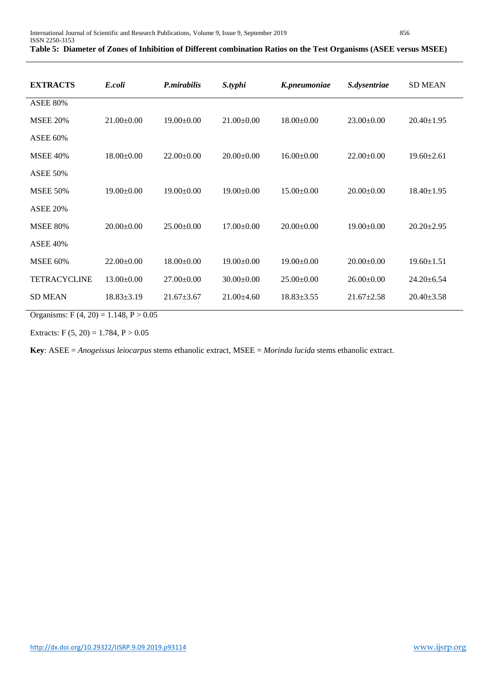# **Table 5: Diameter of Zones of Inhibition of Different combination Ratios on the Test Organisms (ASEE versus MSEE)**

| <b>EXTRACTS</b>     | E.coli           | P.mirabilis      | S.typhi          | K.pneumoniae     | S.dysentriae     | <b>SD MEAN</b>   |
|---------------------|------------------|------------------|------------------|------------------|------------------|------------------|
| <b>ASEE 80%</b>     |                  |                  |                  |                  |                  |                  |
| <b>MSEE 20%</b>     | $21.00 \pm 0.00$ | $19.00 \pm 0.00$ | $21.00 \pm 0.00$ | $18.00 \pm 0.00$ | $23.00 \pm 0.00$ | $20.40 \pm 1.95$ |
| <b>ASEE 60%</b>     |                  |                  |                  |                  |                  |                  |
| <b>MSEE 40%</b>     | $18.00 \pm 0.00$ | $22.00 \pm 0.00$ | $20.00 \pm 0.00$ | $16.00 \pm 0.00$ | $22.00 \pm 0.00$ | $19.60 \pm 2.61$ |
| <b>ASEE 50%</b>     |                  |                  |                  |                  |                  |                  |
| <b>MSEE 50%</b>     | $19.00 \pm 0.00$ | $19.00 \pm 0.00$ | $19.00 \pm 0.00$ | $15.00 \pm 0.00$ | $20.00 \pm 0.00$ | $18.40 \pm 1.95$ |
| <b>ASEE 20%</b>     |                  |                  |                  |                  |                  |                  |
| <b>MSEE 80%</b>     | $20.00 \pm 0.00$ | $25.00+0.00$     | $17.00 \pm 0.00$ | $20.00 \pm 0.00$ | $19.00 \pm 0.00$ | $20.20 \pm 2.95$ |
| <b>ASEE 40%</b>     |                  |                  |                  |                  |                  |                  |
| <b>MSEE 60%</b>     | $22.00 \pm 0.00$ | $18.00 \pm 0.00$ | $19.00 \pm 0.00$ | $19.00 \pm 0.00$ | $20.00 \pm 0.00$ | $19.60 \pm 1.51$ |
| <b>TETRACYCLINE</b> | $13.00 \pm 0.00$ | $27.00 \pm 0.00$ | $30.00 \pm 0.00$ | $25.00 \pm 0.00$ | $26.00\pm0.00$   | $24.20 \pm 6.54$ |
| <b>SD MEAN</b>      | $18.83 \pm 3.19$ | $21.67 \pm 3.67$ | $21.00\pm4.60$   | $18.83 \pm 3.55$ | $21.67 \pm 2.58$ | $20.40 \pm 3.58$ |

Organisms: F  $(4, 20) = 1.148$ , P  $> 0.05$ 

Extracts:  $F(5, 20) = 1.784, P > 0.05$ 

**Key**: ASEE = *Anogeissus leiocarpus* stems ethanolic extract, MSEE = *Morinda lucida* stems ethanolic extract.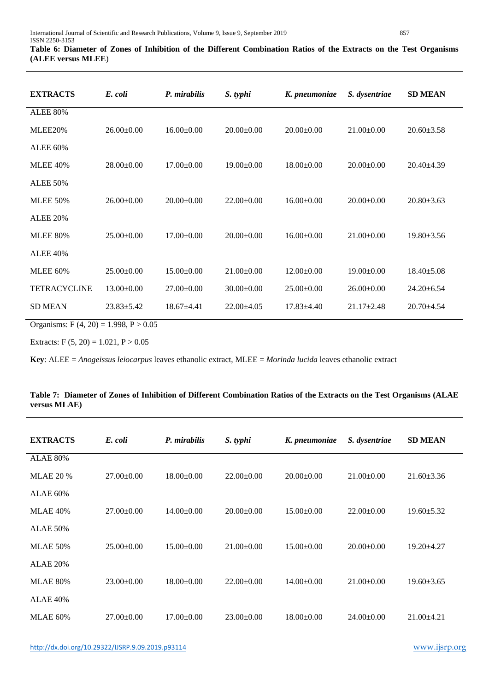| <b>EXTRACTS</b>     | E. coli          | P. mirabilis     | S. typhi         | K. pneumoniae    | S. dysentriae    | <b>SD MEAN</b>   |
|---------------------|------------------|------------------|------------------|------------------|------------------|------------------|
| <b>ALEE 80%</b>     |                  |                  |                  |                  |                  |                  |
| MLEE20%             | $26.00 \pm 0.00$ | $16.00 \pm 0.00$ | $20.00 \pm 0.00$ | $20.00 \pm 0.00$ | $21.00 \pm 0.00$ | $20.60 \pm 3.58$ |
| <b>ALEE 60%</b>     |                  |                  |                  |                  |                  |                  |
| <b>MLEE 40%</b>     | $28.00 \pm 0.00$ | $17.00 \pm 0.00$ | $19.00 \pm 0.00$ | $18.00 \pm 0.00$ | $20.00 \pm 0.00$ | $20.40 \pm 4.39$ |
| <b>ALEE 50%</b>     |                  |                  |                  |                  |                  |                  |
| <b>MLEE 50%</b>     | $26.00 \pm 0.00$ | $20.00 \pm 0.00$ | $22.00 \pm 0.00$ | $16.00 \pm 0.00$ | $20.00 \pm 0.00$ | $20.80 \pm 3.63$ |
| <b>ALEE 20%</b>     |                  |                  |                  |                  |                  |                  |
| <b>MLEE 80%</b>     | $25.00+0.00$     | $17.00 \pm 0.00$ | $20.00 \pm 0.00$ | $16.00+0.00$     | $21.00 \pm 0.00$ | $19.80 \pm 3.56$ |
| <b>ALEE 40%</b>     |                  |                  |                  |                  |                  |                  |
| <b>MLEE 60%</b>     | $25.00 \pm 0.00$ | $15.00 \pm 0.00$ | $21.00 \pm 0.00$ | $12.00 \pm 0.00$ | $19.00 \pm 0.00$ | $18.40 \pm 5.08$ |
| <b>TETRACYCLINE</b> | $13.00 \pm 0.00$ | $27.00 \pm 0.00$ | $30.00 \pm 0.00$ | $25.00 \pm 0.00$ | $26.00\pm0.00$   | $24.20 \pm 6.54$ |
| <b>SD MEAN</b>      | $23.83 \pm 5.42$ | $18.67 + 4.41$   | $22.00 \pm 4.05$ | $17.83 \pm 4.40$ | $21.17 \pm 2.48$ | $20.70 \pm 4.54$ |

Organisms: F  $(4, 20) = 1.998$ , P  $> 0.05$ 

Extracts:  $F(5, 20) = 1.021, P > 0.05$ 

**Key**: ALEE = *Anogeissus leiocarpus* leaves ethanolic extract, MLEE = *Morinda lucida* leaves ethanolic extract

| Table 7: Diameter of Zones of Inhibition of Different Combination Ratios of the Extracts on the Test Organisms (ALAE |  |
|----------------------------------------------------------------------------------------------------------------------|--|
| versus MLAE)                                                                                                         |  |
|                                                                                                                      |  |

| <b>EXTRACTS</b>  | E. coli          | P. mirabilis     | S. typhi         | K. pneumoniae    | S. dysentriae    | <b>SD MEAN</b>   |
|------------------|------------------|------------------|------------------|------------------|------------------|------------------|
| <b>ALAE 80%</b>  |                  |                  |                  |                  |                  |                  |
| <b>MLAE 20 %</b> | $27.00 \pm 0.00$ | $18.00 \pm 0.00$ | $22.00 \pm 0.00$ | $20.00 \pm 0.00$ | $21.00 \pm 0.00$ | $21.60 \pm 3.36$ |
| <b>ALAE 60%</b>  |                  |                  |                  |                  |                  |                  |
| <b>MLAE 40%</b>  | $27.00 \pm 0.00$ | $14.00 \pm 0.00$ | $20.00 \pm 0.00$ | $15.00 \pm 0.00$ | $22.00 \pm 0.00$ | $19.60 \pm 5.32$ |
| <b>ALAE 50%</b>  |                  |                  |                  |                  |                  |                  |
| <b>MLAE 50%</b>  | $25.00 \pm 0.00$ | $15.00 \pm 0.00$ | $21.00 \pm 0.00$ | $15.00 \pm 0.00$ | $20.00 \pm 0.00$ | $19.20 \pm 4.27$ |
| <b>ALAE 20%</b>  |                  |                  |                  |                  |                  |                  |
| <b>MLAE 80%</b>  | $23.00 \pm 0.00$ | $18.00 \pm 0.00$ | $22.00 \pm 0.00$ | $14.00 \pm 0.00$ | $21.00 \pm 0.00$ | $19.60 \pm 3.65$ |
| <b>ALAE 40%</b>  |                  |                  |                  |                  |                  |                  |
| <b>MLAE 60%</b>  | $27.00 \pm 0.00$ | $17.00 \pm 0.00$ | $23.00 \pm 0.00$ | $18.00 \pm 0.00$ | $24.00 \pm 0.00$ | $21.00 \pm 4.21$ |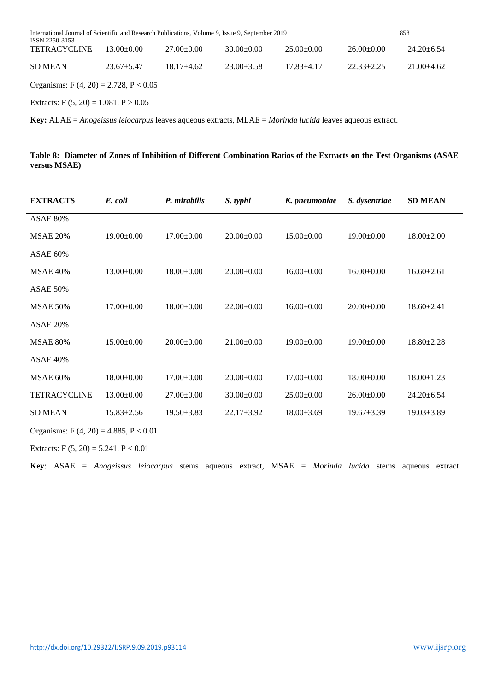| International Journal of Scientific and Research Publications, Volume 9, Issue 9, September 2019<br>ISSN 2250-3153 |                |                  |                  |                  |                | 858              |
|--------------------------------------------------------------------------------------------------------------------|----------------|------------------|------------------|------------------|----------------|------------------|
| <b>TETRACYCLINE</b>                                                                                                | $13.00 + 0.00$ | $27.00 \pm 0.00$ | $30.00 \pm 0.00$ | $25.00 \pm 0.00$ | $26.00\pm0.00$ | $24.20 \pm 6.54$ |
| <b>SD MEAN</b>                                                                                                     | $23.67 + 5.47$ | $18.17 + 4.62$   | $23.00 \pm 3.58$ | $17.83 + 4.17$   | $22.33+2.25$   | $21.00+4.62$     |

Organisms: F  $(4, 20) = 2.728$ , P < 0.05

Extracts: F  $(5, 20) = 1.081$ , P  $> 0.05$ 

**Key:** ALAE = *Anogeissus leiocarpus* leaves aqueous extracts, MLAE = *Morinda lucida* leaves aqueous extract.

# **Table 8: Diameter of Zones of Inhibition of Different Combination Ratios of the Extracts on the Test Organisms (ASAE versus MSAE)**

| <b>EXTRACTS</b>     | E. coli          | P. mirabilis     | S. typhi         | K. pneumoniae    | S. dysentriae    | <b>SD MEAN</b>   |
|---------------------|------------------|------------------|------------------|------------------|------------------|------------------|
| <b>ASAE 80%</b>     |                  |                  |                  |                  |                  |                  |
| <b>MSAE 20%</b>     | $19.00 \pm 0.00$ | $17.00 \pm 0.00$ | $20.00 \pm 0.00$ | $15.00 \pm 0.00$ | $19.00 \pm 0.00$ | $18.00 \pm 2.00$ |
| <b>ASAE 60%</b>     |                  |                  |                  |                  |                  |                  |
| <b>MSAE 40%</b>     | $13.00 \pm 0.00$ | $18.00 \pm 0.00$ | $20.00 \pm 0.00$ | $16.00 \pm 0.00$ | $16.00 \pm 0.00$ | $16.60 \pm 2.61$ |
| <b>ASAE 50%</b>     |                  |                  |                  |                  |                  |                  |
| <b>MSAE 50%</b>     | $17.00 \pm 0.00$ | $18.00 \pm 0.00$ | $22.00 \pm 0.00$ | $16.00\pm0.00$   | $20.00 \pm 0.00$ | $18.60 \pm 2.41$ |
| <b>ASAE 20%</b>     |                  |                  |                  |                  |                  |                  |
| <b>MSAE 80%</b>     | $15.00 \pm 0.00$ | $20.00 \pm 0.00$ | $21.00 \pm 0.00$ | $19.00 \pm 0.00$ | $19.00 \pm 0.00$ | $18.80 \pm 2.28$ |
| <b>ASAE 40%</b>     |                  |                  |                  |                  |                  |                  |
| <b>MSAE 60%</b>     | $18.00 \pm 0.00$ | $17.00 \pm 0.00$ | $20.00 \pm 0.00$ | $17.00 \pm 0.00$ | $18.00 \pm 0.00$ | $18.00 \pm 1.23$ |
| <b>TETRACYCLINE</b> | $13.00 \pm 0.00$ | $27.00 \pm 0.00$ | $30.00 \pm 0.00$ | $25.00 \pm 0.00$ | $26.00 \pm 0.00$ | $24.20 \pm 6.54$ |
| <b>SD MEAN</b>      | $15.83 \pm 2.56$ | $19.50 \pm 3.83$ | $22.17 \pm 3.92$ | $18.00 \pm 3.69$ | $19.67 \pm 3.39$ | $19.03 \pm 3.89$ |

Organisms: F  $(4, 20) = 4.885, P < 0.01$ 

Extracts:  $F(5, 20) = 5.241, P < 0.01$ 

**Key**: ASAE = *Anogeissus leiocarpus* stems aqueous extract, MSAE = *Morinda lucida* stems aqueous extract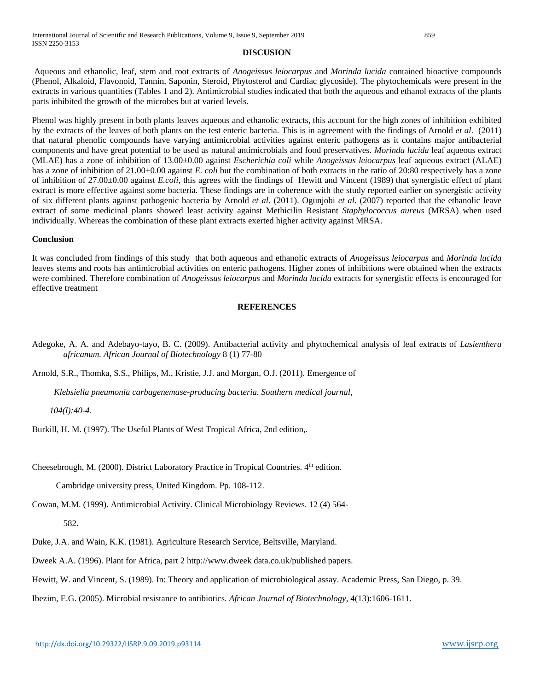#### **DISCUSION**

Aqueous and ethanolic, leaf, stem and root extracts of *Anogeissus leiocarpus* and *Morinda lucida* contained bioactive compounds (Phenol, Alkaloid, Flavonoid, Tannin, Saponin, Steroid, Phytosterol and Cardiac glycoside). The phytochemicals were present in the extracts in various quantities (Tables 1 and 2). Antimicrobial studies indicated that both the aqueous and ethanol extracts of the plants parts inhibited the growth of the microbes but at varied levels.

Phenol was highly present in both plants leaves aqueous and ethanolic extracts, this account for the high zones of inhibition exhibited by the extracts of the leaves of both plants on the test enteric bacteria. This is in agreement with the findings of Arnold *et al*. (2011) that natural phenolic compounds have varying antimicrobial activities against enteric pathogens as it contains major antibacterial components and have great potential to be used as natural antimicrobials and food preservatives. *Morinda lucida* leaf aqueous extract (MLAE) has a zone of inhibition of 13.00±0.00 against *Escherichia coli* while *Anogeissus leiocarpus* leaf aqueous extract (ALAE) has a zone of inhibition of 21.00±0.00 against *E. coli* but the combination of both extracts in the ratio of 20:80 respectively has a zone of inhibition of 27.00±0.00 against *E.coli*, this agrees with the findings of Hewitt and Vincent (1989) that synergistic effect of plant extract is more effective against some bacteria. These findings are in coherence with the study reported earlier on synergistic activity of six different plants against pathogenic bacteria by Arnold *et al*. (2011). Ogunjobi *et al*. (2007) reported that the ethanolic leave extract of some medicinal plants showed least activity against Methicilin Resistant *Staphylococcus aureus* (MRSA) when used individually. Whereas the combination of these plant extracts exerted higher activity against MRSA.

#### **Conclusion**

It was concluded from findings of this study that both aqueous and ethanolic extracts of *Anogeissus leiocarpus* and *Morinda lucida* leaves stems and roots has antimicrobial activities on enteric pathogens. Higher zones of inhibitions were obtained when the extracts were combined. Therefore combination of *Anogeissus leiocarpus* and *Morinda lucida* extracts for synergistic effects is encouraged for effective treatment

# **REFERENCES**

Adegoke, A. A. and Adebayo-tayo, B. C. (2009). Antibacterial activity and phytochemical analysis of leaf extracts of *Lasienthera africanum. African Journal of Biotechnology* 8 (1) 77-80

Arnold, S.R., Thomka, S.S., Philips, M., Kristie, J.J. and Morgan, O.J. (2011). Emergence of

*Klebsiella pneumonia carbagenemase-producing bacteria. Southern medical journal,* 

 *104(l):40-4*.

Burkill, H. M. (1997). The Useful Plants of West Tropical Africa, 2nd edition,.

Cheesebrough, M. (2000). District Laboratory Practice in Tropical Countries. 4<sup>th</sup> edition.

Cambridge university press, United Kingdom. Pp. 108-112.

Cowan, M.M. (1999). Antimicrobial Activity. Clinical Microbiology Reviews. 12 (4) 564-

582.

Duke, J.A. and Wain, K.K. (1981). Agriculture Research Service, Beltsville, Maryland.

Dweek A.A. (1996). Plant for Africa, part 2 http://www.dweek data.co.uk/published papers.

Hewitt, W. and Vincent, S. (1989). In: Theory and application of microbiological assay. Academic Press, San Diego, p. 39.

Ibezim, E.G. (2005). Microbial resistance to antibiotics. *African Journal of Biotechnology,* 4(13):1606-1611.